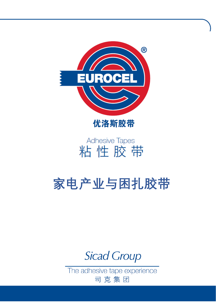

优洛斯胶带

# **Adhesive Tapes** 粘性胶带

# **家电产业与困扎胶带**

**Sicad Group** 

The adhesive tape experience 司克集团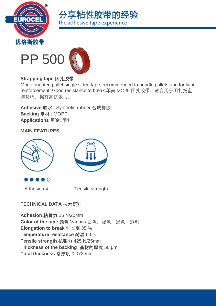





#### **Strapping tape 困扎胶带**

Mono oriented pallet single sided tape, recommended to bundle pallets and for light reinforcement. Good resistance to break.单面 MOPP 困扎胶带。适合用于困扎托盘 与货物。据有高抗张力。

**Adhesive 胶水** : Synthetic rubber 合成橡胶 **Backing 基材** : MOPP **Applications 用途**: 困扎

#### **MAIN FEATURES**





D O

Adhesion 4 Tensile strength

# **TECHNICAL DATA** 技术资料

**Adhesion 粘着力** 15 N/25mm **Color of the tape 颜色** Various 白色, 褐色, 黑色, 透明 **Elongation to break 伸长率** 35 % **Temperature resistance 耐温** 60 °C **Tensile strength 抗张力** 425 N/25mm **Thickness of the backing 基材的厚度** 50 µm **Total thickness 总厚度** 0.072 mm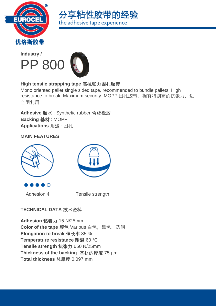





### **High tensile strapping tape 高抗张力困扎胶带**

Mono oriented pallet single sided tape, recommended to bundle pallets. High resistance to break. Maximum security. MOPP 困扎胶带, 据有特别高的抗张力, 适 合困扎用

**Adhesive 胶水** : Synthetic rubber 合成橡胶 **Backing 基材** : MOPP **Applications 用途** : 困扎

#### **MAIN FEATURES**





Adhesion 4 Tensile strength

# **TECHNICAL DATA** 技术资料

**Adhesion 粘着力** 15 N/25mm **Color of the tape 颜色** Various 白色, 黑色, 透明 **Elongation to break 伸长率** 35 % **Temperature resistance 耐温** 60 °C **Tensile strength 抗张力** 650 N/25mm **Thickness of the backing 基材的厚度** 75 µm **Total thickness 总厚度** 0.097 mm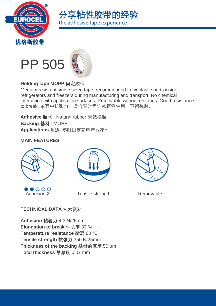





#### **Holding tape MOPP 固定胶带**

Medium resistant single sided tape, recommended to fix plastic parts inside refrigerators and freezers during manufacturing and transport. No chemical interaction with application surfaces. Removable without residues. Good resistance to break. 单面中抗张力, 适合零时固定冰箱零件用, 不留残胶。

**Adhesive 胶水** : Natural rubber 天然橡胶 **Backing 基材** : MOPP **Applications 用途**: 零时固定家电产业零件

#### **MAIN FEATURES**



 $\bullet$  000



Adhesion 2 Tensile strength Removable



# **TECHNICAL DATA** 技术资料

**Adhesion 粘着力** 4.3 N/25mm **Elongation to break 伸长率** 33 % **Temperature resistance 耐温** 60 °C **Tensile strength 抗张力** 350 N/25mm **Thickness of the backing 基材的厚度** 50 µm **Total thickness 总厚度** 0.07 mm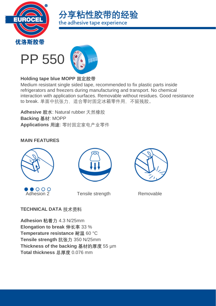





### **Holding tape blue MOPP 固定胶带**

Medium resistant single sided tape, recommended to fix plastic parts inside refrigerators and freezers during manufacturing and transport. No chemical interaction with application surfaces. Removable without residues. Good resistance to break. 单面中抗张力, 适合零时固定冰箱零件用, 不留残胶。

**Adhesive 胶水**: Natural rubber 天然橡胶 **Backing 基材**: MOPP **Applications 用途**: 零时固定家电产业零件

#### **MAIN FEATURES**







Adhesion 2 Tensile strength Removable



# **TECHNICAL DATA** 技术资料

**Adhesion 粘着力** 4.3 N/25mm **Elongation to break 伸长率** 33 % **Temperature resistance 耐温** 60 °C **Tensile strength 抗张力** 350 N/25mm **Thickness of the backing 基材的厚度** 55 µm **Total thickness 总厚度** 0.076 mm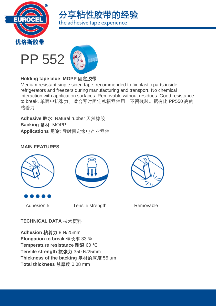





## **Holding tape blue MOPP 固定胶带**

Medium resistant single sided tape, recommended to fix plastic parts inside refrigerators and freezers during manufacturing and transport. No chemical interaction with application surfaces. Removable without residues. Good resistance to break. 单面中抗张力, 适合零时固定冰箱零件用, 不留残胶。据有比 PP550 高的 粘着力

**Adhesive 胶水**: Natural rubber 天然橡胶 **Backing 基材**: MOPP **Applications 用途**: 零时固定家电产业零件

#### **MAIN FEATURES**







Adhesion 5 Tensile strength Removable

# **TECHNICAL DATA** 技术资料

**Adhesion 粘着力** 8 N/25mm **Elongation to break 伸长率** 33 % **Temperature resistance 耐温** 60 °C **Tensile strength 抗张力** 350 N/25mm **Thickness of the backing 基材的厚度** 55 µm **Total thickness 总厚度** 0.08 mm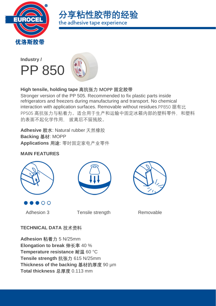





Stronger version of the PP 505. Recommended to fix plastic parts inside refrigerators and freezers during manufacturing and transport. No chemical interaction with application surfaces. Removable without residues.PP850 据有比 PP505 高抗张力与粘着力。适合用于生产和运输中固定冰箱内部的塑料零件,和塑料 的表面不起化学作用, 拔离后不留残胶。

**Adhesive 胶水**: Natural rubber 天然橡胶 **Backing 基材**: MOPP **Applications 用途**: 零时固定家电产业零件

## **MAIN FEATURES**







Adhesion 3 Tensile strength Removable

# **TECHNICAL DATA** 技术资料

**Adhesion 粘着力** 5 N/25mm **Elongation to break 伸长率** 40 % **Temperature resistance 耐温** 60 °C **Tensile strength 抗张力** 615 N/25mm **Thickness of the backing 基材的厚度** 90 µm **Total thickness 总厚度** 0.113 mm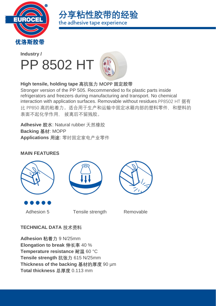





Stronger version of the PP 505. Recommended to fix plastic parts inside refrigerators and freezers during manufacturing and transport. No chemical interaction with application surfaces. Removable without residues.PP8502 HT 据有 比 PP850 高的粘着力。适合用于生产和运输中固定冰箱内部的塑料零件, 和塑料的 表面不起化学作用, 拔离后不留残胶。

**Adhesive 胶水**: Natural rubber 天然橡胶 **Backing 基材**: MOPP **Applications 用途**: 零时固定家电产业零件

#### **MAIN FEATURES**







Adhesion 5 Tensile strength Removable

# **TECHNICAL DATA** 技术资料

**Adhesion 粘着力** 9 N/25mm **Elongation to break 伸长率** 40 % **Temperature resistance 耐温** 60 °C **Tensile strength 抗张力** 615 N/25mm **Thickness of the backing 基材的厚度** 90 µm **Total thickness 总厚度** 0.113 mm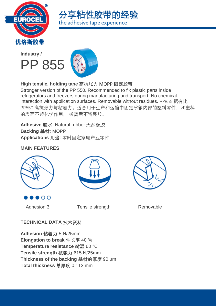





Stronger version of the PP 550. Recommended to fix plastic parts inside refrigerators and freezers during manufacturing and transport. No chemical interaction with application surfaces. Removable without residues. PP855 据有比 PP550 高抗张力与粘着力。适合用于生产和运输中固定冰箱内部的塑料零件,和塑料 的表面不起化学作用, 拔离后不留残胶。

**Adhesive 胶水**: Natural rubber 天然橡胶 **Backing 基材**: MOPP **Applications 用途**: 零时固定家电产业零件

### **MAIN FEATURES**







|  |  | $A = \begin{bmatrix} 1 & 0 \\ 0 & 1 \end{bmatrix}$ |  |
|--|--|----------------------------------------------------|--|
|  |  |                                                    |  |

Adhesion 3 Tensile strength Removable

# **TECHNICAL DATA** 技术资料

**Adhesion 粘着力** 5 N/25mm **Elongation to break 伸长率** 40 % **Temperature resistance 耐温** 60 °C **Tensile strength 抗张力** 615 N/25mm **Thickness of the backing 基材的厚度** 90 µm **Total thickness 总厚度** 0.113 mm